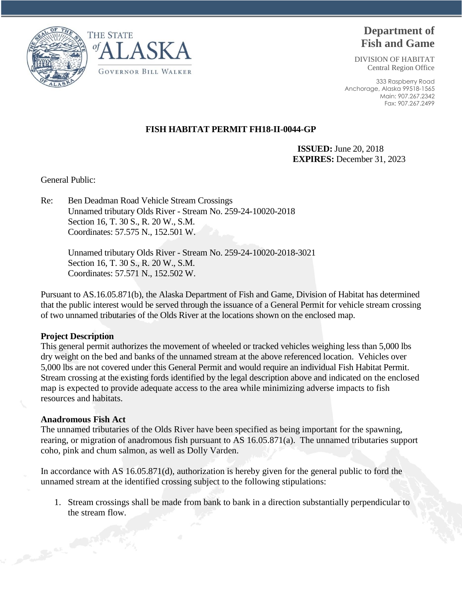



# **Department of Fish and Game**

DIVISION OF HABITAT Central Region Office

333 Raspberry Road Anchorage, Alaska 99518-1565 Main: 907.267.2342 Fax: 907.267.2499

# **FISH HABITAT PERMIT FH18-II-0044-GP**

**ISSUED:** June 20, 2018 **EXPIRES:** December 31, 2023

General Public:

Re: Ben Deadman Road Vehicle Stream Crossings Unnamed tributary Olds River - Stream No. 259-24-10020-2018 Section 16, T. 30 S., R. 20 W., S.M. Coordinates: 57.575 N., 152.501 W.

> Unnamed tributary Olds River - Stream No. 259-24-10020-2018-3021 Section 16, T. 30 S., R. 20 W., S.M. Coordinates: 57.571 N., 152.502 W.

Pursuant to AS.16.05.871(b), the Alaska Department of Fish and Game, Division of Habitat has determined that the public interest would be served through the issuance of a General Permit for vehicle stream crossing of two unnamed tributaries of the Olds River at the locations shown on the enclosed map.

## **Project Description**

This general permit authorizes the movement of wheeled or tracked vehicles weighing less than 5,000 lbs dry weight on the bed and banks of the unnamed stream at the above referenced location. Vehicles over 5,000 lbs are not covered under this General Permit and would require an individual Fish Habitat Permit. Stream crossing at the existing fords identified by the legal description above and indicated on the enclosed map is expected to provide adequate access to the area while minimizing adverse impacts to fish resources and habitats.

## **Anadromous Fish Act**

The unnamed tributaries of the Olds River have been specified as being important for the spawning, rearing, or migration of anadromous fish pursuant to AS 16.05.871(a). The unnamed tributaries support coho, pink and chum salmon, as well as Dolly Varden.

In accordance with AS 16.05.871(d), authorization is hereby given for the general public to ford the unnamed stream at the identified crossing subject to the following stipulations:

1. Stream crossings shall be made from bank to bank in a direction substantially perpendicular to the stream flow.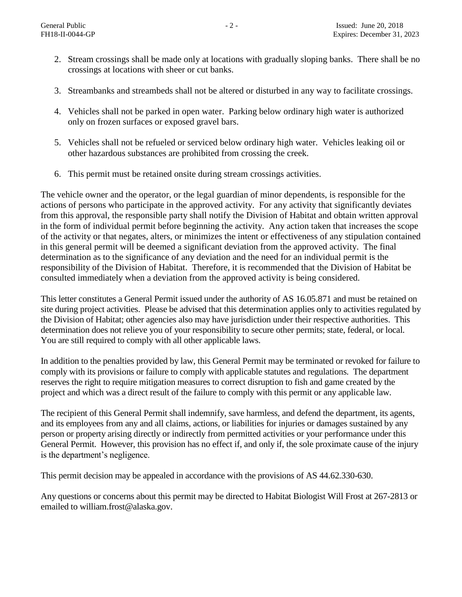- 2. Stream crossings shall be made only at locations with gradually sloping banks. There shall be no crossings at locations with sheer or cut banks.
- 3. Streambanks and streambeds shall not be altered or disturbed in any way to facilitate crossings.
- 4. Vehicles shall not be parked in open water. Parking below ordinary high water is authorized only on frozen surfaces or exposed gravel bars.
- 5. Vehicles shall not be refueled or serviced below ordinary high water. Vehicles leaking oil or other hazardous substances are prohibited from crossing the creek.
- 6. This permit must be retained onsite during stream crossings activities.

The vehicle owner and the operator, or the legal guardian of minor dependents, is responsible for the actions of persons who participate in the approved activity. For any activity that significantly deviates from this approval, the responsible party shall notify the Division of Habitat and obtain written approval in the form of individual permit before beginning the activity. Any action taken that increases the scope of the activity or that negates, alters, or minimizes the intent or effectiveness of any stipulation contained in this general permit will be deemed a significant deviation from the approved activity. The final determination as to the significance of any deviation and the need for an individual permit is the responsibility of the Division of Habitat. Therefore, it is recommended that the Division of Habitat be consulted immediately when a deviation from the approved activity is being considered.

This letter constitutes a General Permit issued under the authority of AS 16.05.871 and must be retained on site during project activities. Please be advised that this determination applies only to activities regulated by the Division of Habitat; other agencies also may have jurisdiction under their respective authorities. This determination does not relieve you of your responsibility to secure other permits; state, federal, or local. You are still required to comply with all other applicable laws.

In addition to the penalties provided by law, this General Permit may be terminated or revoked for failure to comply with its provisions or failure to comply with applicable statutes and regulations. The department reserves the right to require mitigation measures to correct disruption to fish and game created by the project and which was a direct result of the failure to comply with this permit or any applicable law.

The recipient of this General Permit shall indemnify, save harmless, and defend the department, its agents, and its employees from any and all claims, actions, or liabilities for injuries or damages sustained by any person or property arising directly or indirectly from permitted activities or your performance under this General Permit. However, this provision has no effect if, and only if, the sole proximate cause of the injury is the department's negligence.

This permit decision may be appealed in accordance with the provisions of AS 44.62.330-630.

Any questions or concerns about this permit may be directed to Habitat Biologist Will Frost at 267-2813 or emailed to william.frost@alaska.gov.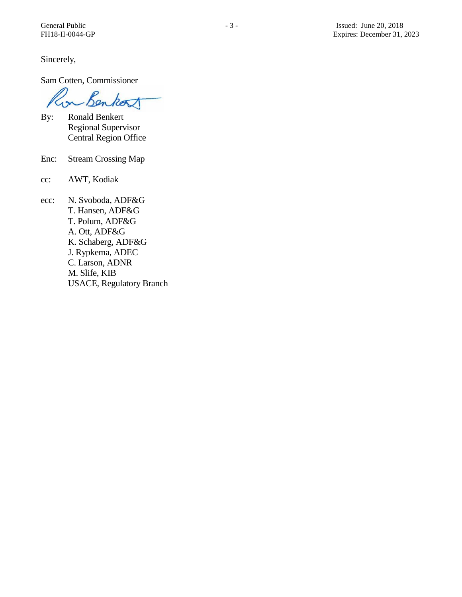Sincerely,

Sam Cotten, Commissioner

Benkort  $\sim$ 

- By: Ronald Benkert Regional Supervisor Central Region Office
- Enc: Stream Crossing Map
- cc: AWT, Kodiak
- ecc: N. Svoboda, ADF&G T. Hansen, ADF&G T. Polum, ADF&G A. Ott, ADF&G K. Schaberg, ADF&G J. Rypkema, ADEC C. Larson, ADNR M. Slife, KIB USACE, Regulatory Branch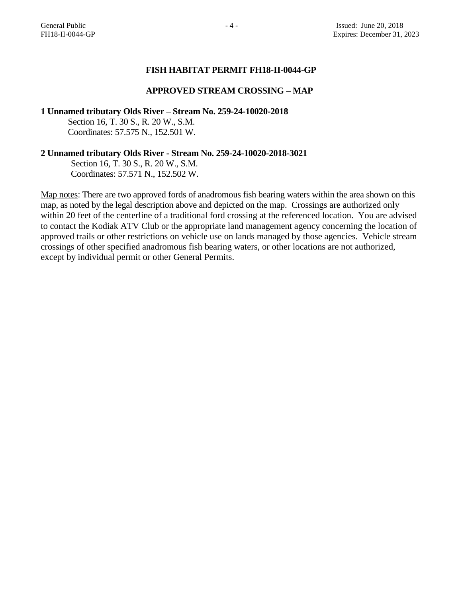## **FISH HABITAT PERMIT FH18-II-0044-GP**

#### **APPROVED STREAM CROSSING – MAP**

**1 Unnamed tributary Olds River – Stream No. 259-24-10020-2018**

Section 16, T. 30 S., R. 20 W., S.M. Coordinates: 57.575 N., 152.501 W.

#### **2 Unnamed tributary Olds River - Stream No. 259-24-10020-2018-3021**

 Section 16, T. 30 S., R. 20 W., S.M. Coordinates: 57.571 N., 152.502 W.

Map notes: There are two approved fords of anadromous fish bearing waters within the area shown on this map, as noted by the legal description above and depicted on the map. Crossings are authorized only within 20 feet of the centerline of a traditional ford crossing at the referenced location. You are advised to contact the Kodiak ATV Club or the appropriate land management agency concerning the location of approved trails or other restrictions on vehicle use on lands managed by those agencies. Vehicle stream crossings of other specified anadromous fish bearing waters, or other locations are not authorized, except by individual permit or other General Permits.